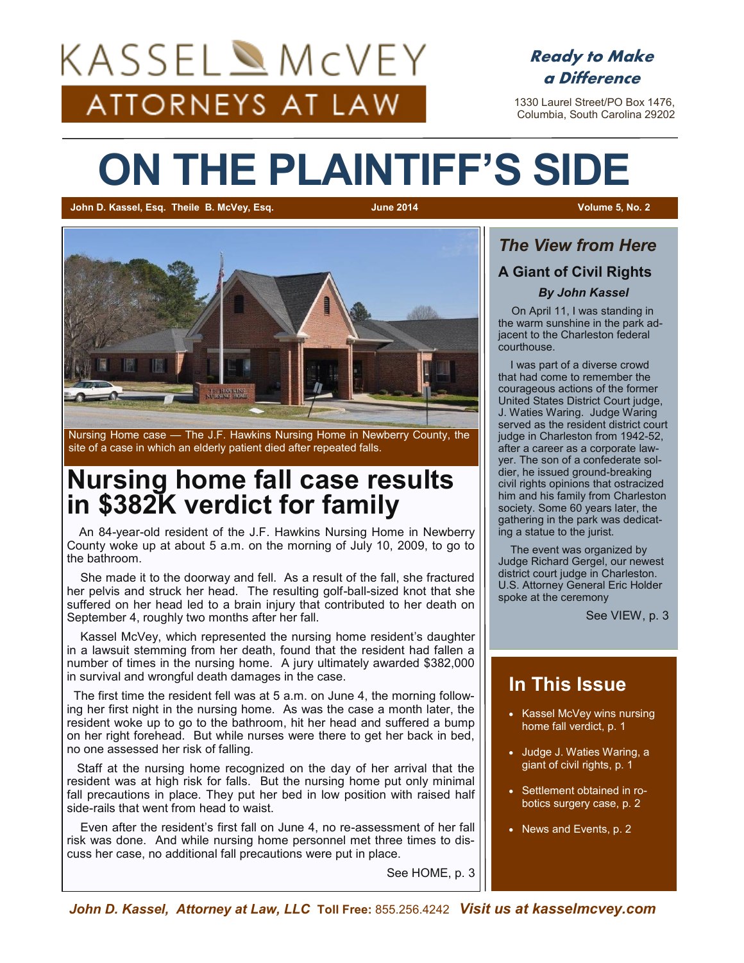# KASSELAMcVEY ATTORNEYS AT LAW



 1330 Laurel Street/PO Box 1476, Columbia, South Carolina 29202

# **ON THE PLAINTIFF'S SIDE**

**John D. Kassel, Esq. Theile B. McVey, Esq. June 2014 Volume 5, No. 2**



Nursing Home case — The J.F. Hawkins Nursing Home in Newberry County, the site of a case in which an elderly patient died after repeated falls.

## **Nursing home fall case results in \$382K verdict for family**

 An 84-year-old resident of the J.F. Hawkins Nursing Home in Newberry County woke up at about 5 a.m. on the morning of July 10, 2009, to go to the bathroom.

 She made it to the doorway and fell. As a result of the fall, she fractured her pelvis and struck her head. The resulting golf-ball-sized knot that she suffered on her head led to a brain injury that contributed to her death on September 4, roughly two months after her fall.

 Kassel McVey, which represented the nursing home resident's daughter in a lawsuit stemming from her death, found that the resident had fallen a number of times in the nursing home. A jury ultimately awarded \$382,000 in survival and wrongful death damages in the case.

 The first time the resident fell was at 5 a.m. on June 4, the morning following her first night in the nursing home. As was the case a month later, the resident woke up to go to the bathroom, hit her head and suffered a bump on her right forehead. But while nurses were there to get her back in bed, no one assessed her risk of falling.

 Staff at the nursing home recognized on the day of her arrival that the resident was at high risk for falls. But the nursing home put only minimal fall precautions in place. They put her bed in low position with raised half side-rails that went from head to waist.

 Even after the resident's first fall on June 4, no re-assessment of her fall risk was done. And while nursing home personnel met three times to discuss her case, no additional fall precautions were put in place.

See HOME, p. 3

## *The View from Here* **A Giant of Civil Rights** *By John Kassel*

 On April 11, I was standing in the warm sunshine in the park adjacent to the Charleston federal courthouse.

 I was part of a diverse crowd that had come to remember the courageous actions of the former United States District Court judge, J. Waties Waring. Judge Waring served as the resident district court judge in Charleston from 1942-52, after a career as a corporate lawyer. The son of a confederate soldier, he issued ground-breaking civil rights opinions that ostracized him and his family from Charleston society. Some 60 years later, the gathering in the park was dedicating a statue to the jurist.

 The event was organized by Judge Richard Gergel, our newest district court judge in Charleston. U.S. Attorney General Eric Holder spoke at the ceremony

See VIEW, p. 3

### **In This Issue**

- Kassel McVey wins nursing home fall verdict, p. 1
- Judge J. Waties Waring, a giant of civil rights, p. 1
- Settlement obtained in robotics surgery case, p. 2
- News and Events, p. 2

*John D. Kassel, Attorney at Law, LLC* **Toll Free:** 855.256.4242 *Visit us at kasselmcvey.com*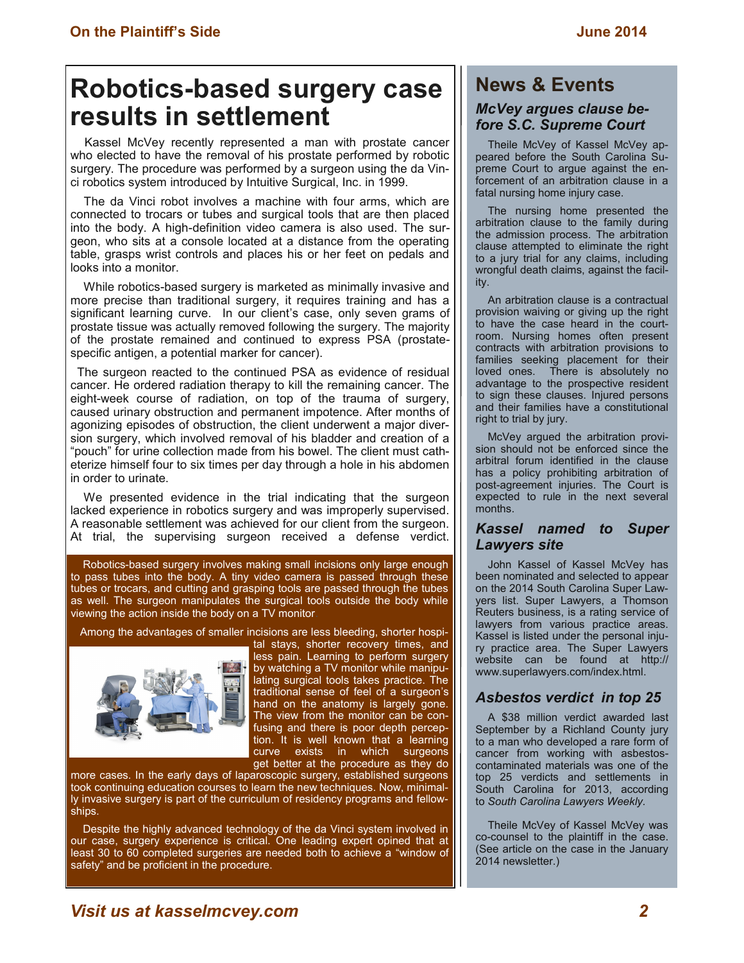# **Robotics-based surgery case results in settlement**

 Kassel McVey recently represented a man with prostate cancer who elected to have the removal of his prostate performed by robotic surgery. The procedure was performed by a surgeon using the da Vinci robotics system introduced by Intuitive Surgical, Inc. in 1999.

 The da Vinci robot involves a machine with four arms, which are connected to trocars or tubes and surgical tools that are then placed into the body. A high-definition video camera is also used. The surgeon, who sits at a console located at a distance from the operating table, grasps wrist controls and places his or her feet on pedals and looks into a monitor.

 While robotics-based surgery is marketed as minimally invasive and more precise than traditional surgery, it requires training and has a significant learning curve. In our client's case, only seven grams of prostate tissue was actually removed following the surgery. The majority of the prostate remained and continued to express PSA (prostatespecific antigen, a potential marker for cancer).

 The surgeon reacted to the continued PSA as evidence of residual cancer. He ordered radiation therapy to kill the remaining cancer. The eight-week course of radiation, on top of the trauma of surgery, caused urinary obstruction and permanent impotence. After months of agonizing episodes of obstruction, the client underwent a major diversion surgery, which involved removal of his bladder and creation of a "pouch" for urine collection made from his bowel. The client must catheterize himself four to six times per day through a hole in his abdomen in order to urinate.

 We presented evidence in the trial indicating that the surgeon lacked experience in robotics surgery and was improperly supervised. A reasonable settlement was achieved for our client from the surgeon. At trial, the supervising surgeon received a defense verdict.

 Robotics-based surgery involves making small incisions only large enough to pass tubes into the body. A tiny video camera is passed through these tubes or trocars, and cutting and grasping tools are passed through the tubes as well. The surgeon manipulates the surgical tools outside the body while viewing the action inside the body on a TV monitor.

Among the advantages of smaller incisions are less bleeding, shorter hospi-



tal stays, shorter recovery times, and

less pain. Learning to perform surgery by watching a TV monitor while manipulating surgical tools takes practice. The traditional sense of feel of a surgeon's hand on the anatomy is largely gone. The view from the monitor can be confusing and there is poor depth perception. It is well known that a learning curve exists in which surgeons get better at the procedure as they do

more cases. In the early days of laparoscopic surgery, established surgeons took continuing education courses to learn the new techniques. Now, minimally invasive surgery is part of the curriculum of residency programs and fellowships.

 Despite the highly advanced technology of the da Vinci system involved in our case, surgery experience is critical. One leading expert opined that at least 30 to 60 completed surgeries are needed both to achieve a "window of safety" and be proficient in the procedure.

#### **News & Events**

#### *McVey argues clause before S.C. Supreme Court*

 Theile McVey of Kassel McVey appeared before the South Carolina Supreme Court to argue against the enforcement of an arbitration clause in a fatal nursing home injury case.

 The nursing home presented the arbitration clause to the family during the admission process. The arbitration clause attempted to eliminate the right to a jury trial for any claims, including wrongful death claims, against the facility.

 An arbitration clause is a contractual provision waiving or giving up the right to have the case heard in the courtroom. Nursing homes often present contracts with arbitration provisions to families seeking placement for their loved ones. There is absolutely no advantage to the prospective resident to sign these clauses. Injured persons and their families have a constitutional right to trial by jury.

 McVey argued the arbitration provision should not be enforced since the arbitral forum identified in the clause has a policy prohibiting arbitration of post-agreement injuries. The Court is expected to rule in the next several months.

#### *Kassel named to Super Lawyers site*

 John Kassel of Kassel McVey has been nominated and selected to appear on the 2014 South Carolina Super Lawyers list. Super Lawyers, a Thomson Reuters business, is a rating service of lawyers from various practice areas. Kassel is listed under the personal injury practice area. The Super Lawyers website can be found at http:// www.superlawyers.com/index.html.

#### *Asbestos verdict in top 25*

 A \$38 million verdict awarded last September by a Richland County jury to a man who developed a rare form of cancer from working with asbestoscontaminated materials was one of the top 25 verdicts and settlements in South Carolina for 2013, according to *South Carolina Lawyers Weekly.*

 Theile McVey of Kassel McVey was co-counsel to the plaintiff in the case. (See article on the case in the January 2014 newsletter.)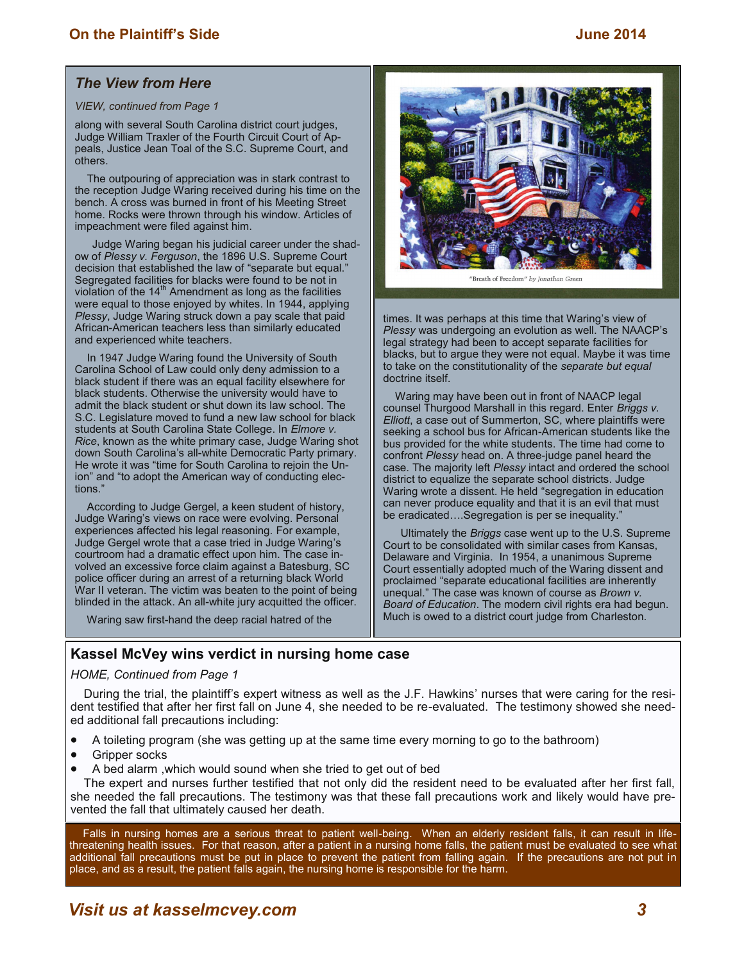#### *The View from Here*

#### *VIEW, continued from Page 1*

along with several South Carolina district court judges, Judge William Traxler of the Fourth Circuit Court of Appeals, Justice Jean Toal of the S.C. Supreme Court, and others.

 The outpouring of appreciation was in stark contrast to the reception Judge Waring received during his time on the bench. A cross was burned in front of his Meeting Street home. Rocks were thrown through his window. Articles of impeachment were filed against him.

Judge Waring began his judicial career under the shadow of *Plessy v. Ferguson*, the 1896 U.S. Supreme Court decision that established the law of "separate but equal." Segregated facilities for blacks were found to be not in violation of the  $14<sup>th</sup>$  Amendment as long as the facilities were equal to those enjoyed by whites. In 1944, applying *Plessy*, Judge Waring struck down a pay scale that paid African-American teachers less than similarly educated and experienced white teachers.

 In 1947 Judge Waring found the University of South Carolina School of Law could only deny admission to a black student if there was an equal facility elsewhere for black students. Otherwise the university would have to admit the black student or shut down its law school. The S.C. Legislature moved to fund a new law school for black students at South Carolina State College. In *Elmore v. Rice*, known as the white primary case, Judge Waring shot down South Carolina's all-white Democratic Party primary. He wrote it was "time for South Carolina to rejoin the Union" and "to adopt the American way of conducting elections."

 According to Judge Gergel, a keen student of history, Judge Waring's views on race were evolving. Personal experiences affected his legal reasoning. For example, Judge Gergel wrote that a case tried in Judge Waring's courtroom had a dramatic effect upon him. The case involved an excessive force claim against a Batesburg, SC police officer during an arrest of a returning black World War II veteran. The victim was beaten to the point of being blinded in the attack. An all-white jury acquitted the officer.

Waring saw first-hand the deep racial hatred of the



"Breath of Freedom" by Jonathan Green

times. It was perhaps at this time that Waring's view of *Plessy* was undergoing an evolution as well. The NAACP's legal strategy had been to accept separate facilities for blacks, but to argue they were not equal. Maybe it was time to take on the constitutionality of the *separate but equal* doctrine itself.

 Waring may have been out in front of NAACP legal counsel Thurgood Marshall in this regard. Enter *Briggs v. Elliott*, a case out of Summerton, SC, where plaintiffs were seeking a school bus for African-American students like the bus provided for the white students. The time had come to confront *Plessy* head on. A three-judge panel heard the case. The majority left *Plessy* intact and ordered the school district to equalize the separate school districts. Judge Waring wrote a dissent. He held "segregation in education can never produce equality and that it is an evil that must be eradicated….Segregation is per se inequality."

Ultimately the *Briggs* case went up to the U.S. Supreme Court to be consolidated with similar cases from Kansas, Delaware and Virginia. In 1954, a unanimous Supreme Court essentially adopted much of the Waring dissent and proclaimed "separate educational facilities are inherently unequal." The case was known of course as *Brown v. Board of Education*. The modern civil rights era had begun. Much is owed to a district court judge from Charleston.

#### **Kassel McVey wins verdict in nursing home case**

#### *HOME, Continued from Page 1*

 During the trial, the plaintiff's expert witness as well as the J.F. Hawkins' nurses that were caring for the resident testified that after her first fall on June 4, she needed to be re-evaluated. The testimony showed she needed additional fall precautions including:

- A toileting program (she was getting up at the same time every morning to go to the bathroom)
- Gripper socks
- A bed alarm ,which would sound when she tried to get out of bed

 The expert and nurses further testified that not only did the resident need to be evaluated after her first fall, she needed the fall precautions. The testimony was that these fall precautions work and likely would have prevented the fall that ultimately caused her death.

 Falls in nursing homes are a serious threat to patient well-being. When an elderly resident falls, it can result in lifethreatening health issues. For that reason, after a patient in a nursing home falls, the patient must be evaluated to see what additional fall precautions must be put in place to prevent the patient from falling again. If the precautions are not put in place, and as a result, the patient falls again, the nursing home is responsible for the harm.

### *Visit us at kasselmcvey.com 3*